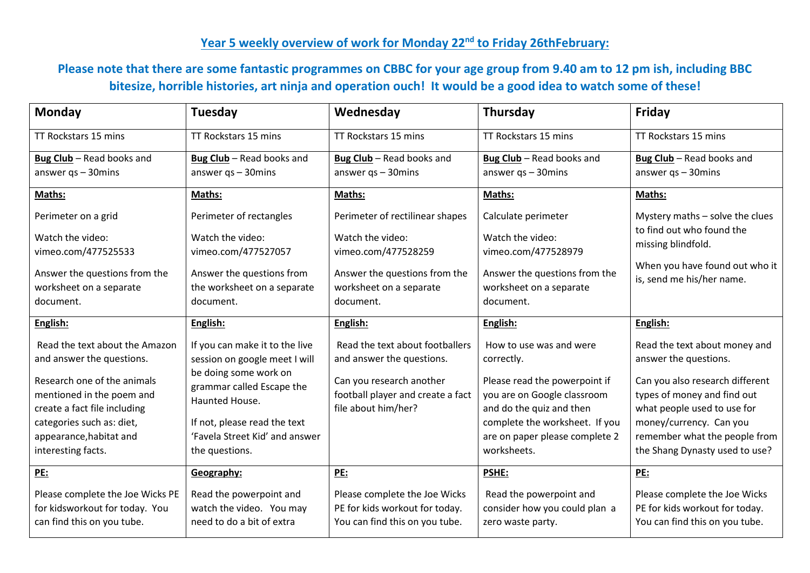## **Year 5 weekly overview of work for Monday 22nd to Friday 26thFebruary:**

## **Please note that there are some fantastic programmes on CBBC for your age group from 9.40 am to 12 pm ish, including BBC bitesize, horrible histories, art ninja and operation ouch! It would be a good idea to watch some of these!**

| Monday                           | Tuesday                                     | Wednesday                         | Thursday                       | <b>Friday</b>                                               |
|----------------------------------|---------------------------------------------|-----------------------------------|--------------------------------|-------------------------------------------------------------|
| TT Rockstars 15 mins             | TT Rockstars 15 mins                        | TT Rockstars 15 mins              | TT Rockstars 15 mins           | TT Rockstars 15 mins                                        |
| Bug Club - Read books and        | Bug Club - Read books and                   | Bug Club - Read books and         | Bug Club - Read books and      | Bug Club - Read books and                                   |
| answer $qs - 30$ mins            | answer $qs - 30$ mins                       | answer $qs - 30$ mins             | answer $qs - 30$ mins          | answer $qs - 30$ mins                                       |
| Maths:                           | Maths:                                      | Maths:                            | Maths:                         | Maths:                                                      |
| Perimeter on a grid              | Perimeter of rectangles                     | Perimeter of rectilinear shapes   | Calculate perimeter            | Mystery maths - solve the clues                             |
| Watch the video:                 | Watch the video:                            | Watch the video:                  | Watch the video:               | to find out who found the<br>missing blindfold.             |
| vimeo.com/477525533              | vimeo.com/477527057                         | vimeo.com/477528259               | vimeo.com/477528979            |                                                             |
| Answer the questions from the    | Answer the questions from                   | Answer the questions from the     | Answer the questions from the  | When you have found out who it<br>is, send me his/her name. |
| worksheet on a separate          | the worksheet on a separate                 | worksheet on a separate           | worksheet on a separate        |                                                             |
| document.                        | document.                                   | document.                         | document.                      |                                                             |
| English:                         | English:                                    | English:                          | English:                       | English:                                                    |
| Read the text about the Amazon   | If you can make it to the live              | Read the text about footballers   | How to use was and were        | Read the text about money and                               |
| and answer the questions.        | session on google meet I will               | and answer the questions.         | correctly.                     | answer the questions.                                       |
| Research one of the animals      | be doing some work on                       | Can you research another          | Please read the powerpoint if  | Can you also research different                             |
| mentioned in the poem and        | grammar called Escape the<br>Haunted House. | football player and create a fact | you are on Google classroom    | types of money and find out                                 |
| create a fact file including     |                                             | file about him/her?               | and do the quiz and then       | what people used to use for                                 |
| categories such as: diet,        | If not, please read the text                |                                   | complete the worksheet. If you | money/currency. Can you                                     |
| appearance, habitat and          | 'Favela Street Kid' and answer              |                                   | are on paper please complete 2 | remember what the people from                               |
| interesting facts.               | the questions.                              |                                   | worksheets.                    | the Shang Dynasty used to use?                              |
| <b>PE:</b>                       | Geography:                                  | PE:                               | <b>PSHE:</b>                   | PE:                                                         |
| Please complete the Joe Wicks PE | Read the powerpoint and                     | Please complete the Joe Wicks     | Read the powerpoint and        | Please complete the Joe Wicks                               |
| for kidsworkout for today. You   | watch the video. You may                    | PE for kids workout for today.    | consider how you could plan a  | PE for kids workout for today.                              |
| can find this on you tube.       | need to do a bit of extra                   | You can find this on you tube.    | zero waste party.              | You can find this on you tube.                              |